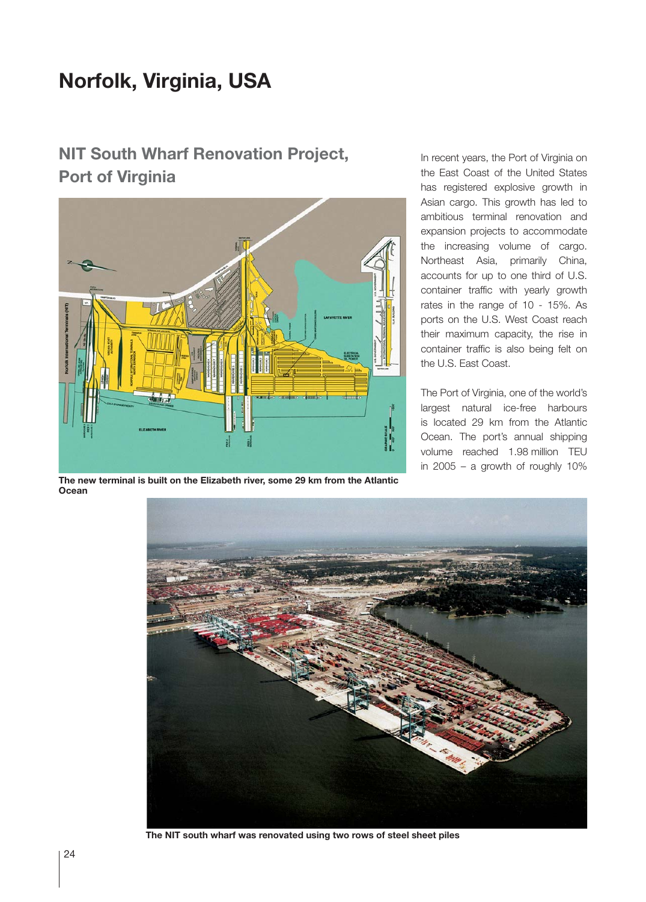## **Norfolk, Virginia, USA**

## **NIT South Wharf Renovation Project, Port of Virginia**



**The new terminal is built on the Elizabeth river, some 29 km from the Atlantic Ocean**

In recent years, the Port of Virginia on the East Coast of the United States has registered explosive growth in Asian cargo. This growth has led to ambitious terminal renovation and expansion projects to accommodate the increasing volume of cargo. Northeast Asia, primarily China, accounts for up to one third of U.S. container traffic with yearly growth rates in the range of 10 - 15%. As ports on the U.S. West Coast reach their maximum capacity, the rise in container traffic is also being felt on the U.S. East Coast.

The Port of Virginia, one of the world's largest natural ice-free harbours is located 29 km from the Atlantic Ocean. The port's annual shipping volume reached 1.98 million TEU in 2005 – a growth of roughly 10%



**The NIT south wharf was renovated using two rows of steel sheet piles**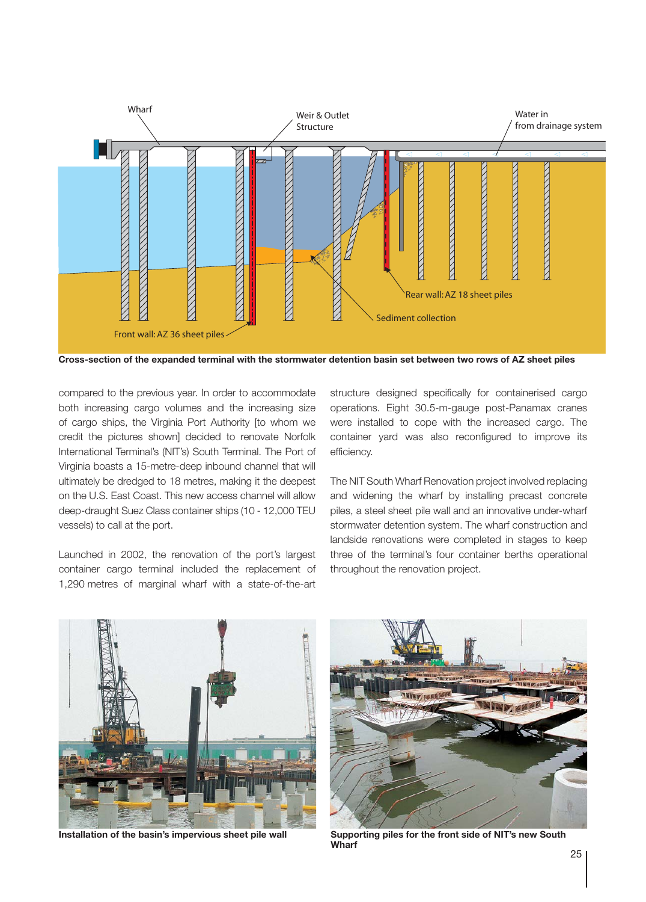

**Cross-section of the expanded terminal with the stormwater detention basin set between two rows of AZ sheet piles**

compared to the previous year. In order to accommodate both increasing cargo volumes and the increasing size of cargo ships, the Virginia Port Authority [to whom we credit the pictures shown] decided to renovate Norfolk International Terminal's (NIT's) South Terminal. The Port of Virginia boasts a 15-metre-deep inbound channel that will ultimately be dredged to 18 metres, making it the deepest on the U.S. East Coast. This new access channel will allow deep-draught Suez Class container ships (10 - 12,000 TEU vessels) to call at the port.

Launched in 2002, the renovation of the port's largest container cargo terminal included the replacement of 1,290 metres of marginal wharf with a state-of-the-art

structure designed specifically for containerised cargo operations. Eight 30.5-m-gauge post-Panamax cranes were installed to cope with the increased cargo. The container yard was also reconfigured to improve its efficiency.

The NIT South Wharf Renovation project involved replacing and widening the wharf by installing precast concrete piles, a steel sheet pile wall and an innovative under-wharf stormwater detention system. The wharf construction and landside renovations were completed in stages to keep three of the terminal's four container berths operational throughout the renovation project.





**Installation of the basin's impervious sheet pile wall Supporting piles for the front side of NIT's new South Wharf**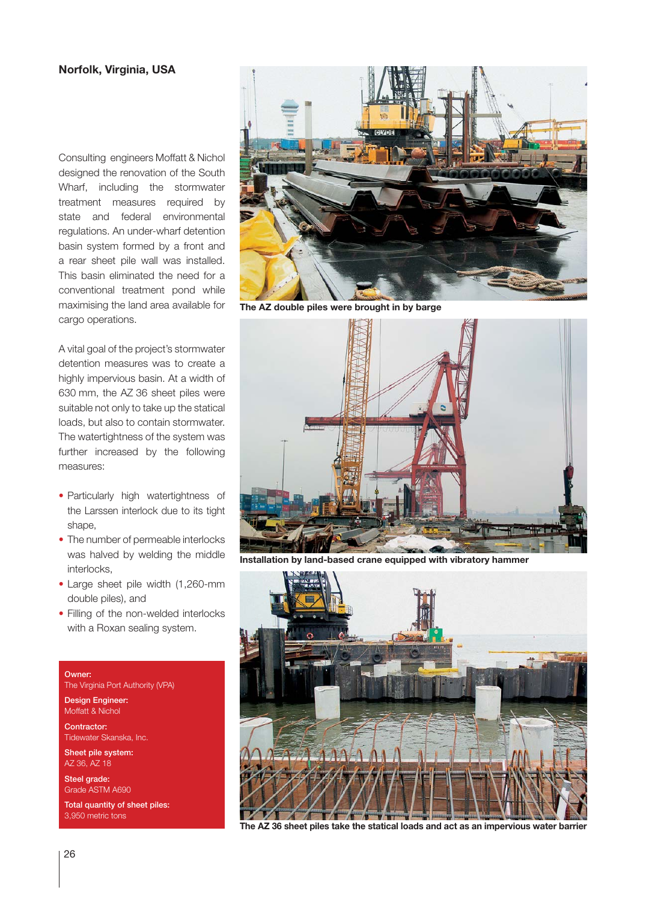## **Norfolk, Virginia, USA**

Consulting engineers Moffatt & Nichol designed the renovation of the South Wharf, including the stormwater treatment measures required by state and federal environmental regulations. An under-wharf detention basin system formed by a front and a rear sheet pile wall was installed. This basin eliminated the need for a conventional treatment pond while maximising the land area available for cargo operations.

A vital goal of the project's stormwater detention measures was to create a highly impervious basin. At a width of 630 mm, the AZ 36 sheet piles were suitable not only to take up the statical loads, but also to contain stormwater. The watertightness of the system was further increased by the following measures:

- Particularly high watertightness of the Larssen interlock due to its tight shape,
- The number of permeable interlocks was halved by welding the middle interlocks,
- Large sheet pile width (1,260-mm double piles), and
- Filling of the non-welded interlocks with a Roxan sealing system.

## Owner:

The Virginia Port Authority (VPA)

Design Engineer: Moffatt & Nichol

Contractor: Tidewater Skanska, Inc.

Sheet pile system: AZ 36, AZ 18

Steel grade: Grade ASTM A690

Total quantity of sheet piles: 3,950 metric tons



**The AZ double piles were brought in by barge**



**Installation by land-based crane equipped with vibratory hammer**



**The AZ 36 sheet piles take the statical loads and act as an impervious water barrier**